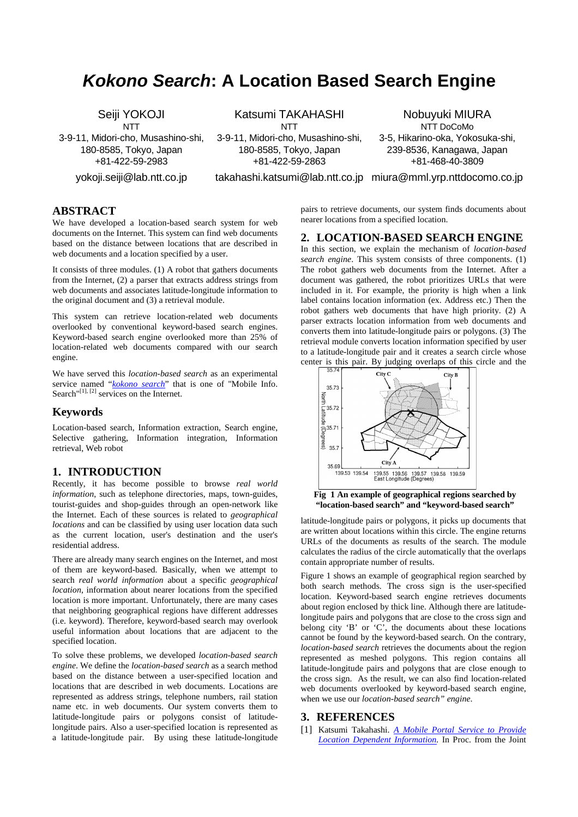# **Kokono Search: A Location Based Search Engine**

Seiji YOKOJI **NTT** 3-9-11, Midori-cho, Musashino-shi, 180-8585, Tokyo, Japan +81-422-59-2983

yokoji.seiji@lab.ntt.co.jp

Katsumi TAKAHASHI **NTT** 

3-9-11, Midori-cho, Musashino-shi, 180-8585, Tokyo, Japan +81-422-59-2863

Nobuyuki MIURA NTT DoCoMo 3-5, Hikarino-oka, Yokosuka-shi, 239-8536, Kanagawa, Japan +81-468-40-3809

takahashi.katsumi@lab.ntt.co.jp miura@mml.yrp.nttdocomo.co.jp

## **ABSTRACT**

We have developed a location-based search system for web documents on the Internet. This system can find web documents based on the distance between locations that are described in web documents and a location specified by a user.

It consists of three modules. (1) A robot that gathers documents from the Internet, (2) a parser that extracts address strings from web documents and associates latitude-longitude information to the original document and (3) a retrieval module.

This system can retrieve location-related web documents overlooked by conventional keyword-based search engines. Keyword-based search engine overlooked more than 25% of location-related web documents compared with our search engine.

We have served this *location-based search* as an experimental service named "*kokono search*" that is one of "Mobile Info. Search<sup>"[1], [2]</sup> services on the Internet.

#### **Keywords**

Location-based search, Information extraction, Search engine, Selective gathering, Information integration, Information retrieval, Web robot

### **1. INTRODUCTION**

Recently, it has become possible to browse *real world information*, such as telephone directories, maps, town-guides, tourist-guides and shop-guides through an open-network like the Internet. Each of these sources is related to *geographical locations* and can be classified by using user location data such as the current location, user's destination and the user's residential address.

There are already many search engines on the Internet, and most of them are keyword-based. Basically, when we attempt to search *real world information* about a specific *geographical location*, information about nearer locations from the specified location is more important. Unfortunately, there are many cases that neighboring geographical regions have different addresses (i.e. keyword). Therefore, keyword-based search may overlook useful information about locations that are adjacent to the specified location.

To solve these problems, we developed *location-based search engine*. We define the *location-based search* as a search method based on the distance between a user-specified location and locations that are described in web documents. Locations are represented as address strings, telephone numbers, rail station name etc. in web documents. Our system converts them to latitude-longitude pairs or polygons consist of latitudelongitude pairs. Also a user-specified location is represented as a latitude-longitude pair. By using these latitude-longitude pairs to retrieve documents, our system finds documents about nearer locations from a specified location.

### **2. LOCATION-BASED SEARCH ENGINE**

In this section, we explain the mechanism of *location-based search engine*. This system consists of three components. (1) The robot gathers web documents from the Internet. After a document was gathered, the robot prioritizes URLs that were included in it. For example, the priority is high when a link label contains location information (ex. Address etc.) Then the robot gathers web documents that have high priority. (2) A parser extracts location information from web documents and converts them into latitude-longitude pairs or polygons. (3) The retrieval module converts location information specified by user to a latitude-longitude pair and it creates a search circle whose center is this pair. By judging overlaps of this circle and the



**Fig 1 An example of geographical regions searched by "location-based search" and "keyword-based search"**

latitude-longitude pairs or polygons, it picks up documents that are written about locations within this circle. The engine returns URLs of the documents as results of the search. The module calculates the radius of the circle automatically that the overlaps contain appropriate number of results.

Figure 1 shows an example of geographical region searched by both search methods. The cross sign is the user-specified location. Keyword-based search engine retrieves documents about region enclosed by thick line. Although there are latitudelongitude pairs and polygons that are close to the cross sign and belong city 'B' or 'C', the documents about these locations cannot be found by the keyword-based search. On the contrary, *location-based search* retrieves the documents about the region represented as meshed polygons. This region contains all latitude-longitude pairs and polygons that are close enough to the cross sign. As the result, we can also find location-related web documents overlooked by keyword-based search engine, when we use our *location-based search" engine*.

#### **3. REFERENCES**

[1] Katsumi Takahashi. *A Mobile Portal Service to Provide Location Dependent Information.* In Proc. from the Joint